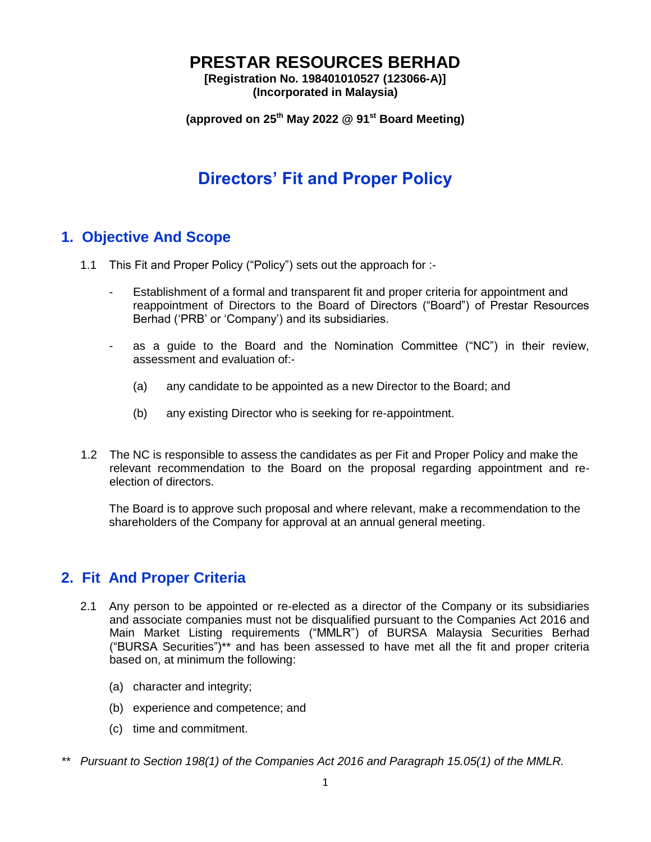# **PRESTAR RESOURCES BERHAD**

**[Registration No. 198401010527 (123066-A)] (Incorporated in Malaysia)**

**(approved on 25 th May 2022 @ 91st Board Meeting)**

# **Directors' Fit and Proper Policy**

# **1. Objective And Scope**

- 1.1 This Fit and Proper Policy ("Policy") sets out the approach for :-
	- Establishment of a formal and transparent fit and proper criteria for appointment and reappointment of Directors to the Board of Directors ("Board") of Prestar Resources Berhad ('PRB' or 'Company') and its subsidiaries.
	- as a guide to the Board and the Nomination Committee ("NC") in their review, assessment and evaluation of:-
		- (a) any candidate to be appointed as a new Director to the Board; and
		- (b) any existing Director who is seeking for re-appointment.
- 1.2 The NC is responsible to assess the candidates as per Fit and Proper Policy and make the relevant recommendation to the Board on the proposal regarding appointment and reelection of directors.

The Board is to approve such proposal and where relevant, make a recommendation to the shareholders of the Company for approval at an annual general meeting.

# **2. Fit And Proper Criteria**

- 2.1 Any person to be appointed or re-elected as a director of the Company or its subsidiaries and associate companies must not be disqualified pursuant to the Companies Act 2016 and Main Market Listing requirements ("MMLR") of BURSA Malaysia Securities Berhad ("BURSA Securities")\*\* and has been assessed to have met all the fit and proper criteria based on, at minimum the following:
	- (a) character and integrity;
	- (b) experience and competence; and
	- (c) time and commitment.
- *\*\* Pursuant to Section 198(1) of the Companies Act 2016 and Paragraph 15.05(1) of the MMLR.*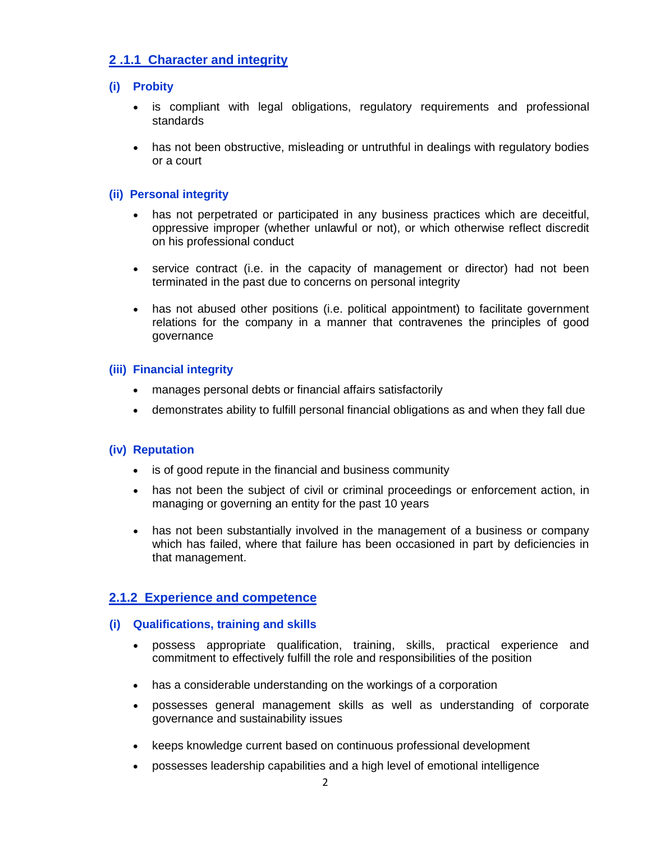# **2 .1.1 Character and integrity**

## **(i) Probity**

- is compliant with legal obligations, regulatory requirements and professional standards
- has not been obstructive, misleading or untruthful in dealings with regulatory bodies or a court

### **(ii) Personal integrity**

- has not perpetrated or participated in any business practices which are deceitful, oppressive improper (whether unlawful or not), or which otherwise reflect discredit on his professional conduct
- service contract (i.e. in the capacity of management or director) had not been terminated in the past due to concerns on personal integrity
- has not abused other positions (i.e. political appointment) to facilitate government relations for the company in a manner that contravenes the principles of good governance

## **(iii) Financial integrity**

- manages personal debts or financial affairs satisfactorily
- demonstrates ability to fulfill personal financial obligations as and when they fall due

# **(iv) Reputation**

- is of good repute in the financial and business community
- has not been the subject of civil or criminal proceedings or enforcement action, in managing or governing an entity for the past 10 years
- has not been substantially involved in the management of a business or company which has failed, where that failure has been occasioned in part by deficiencies in that management.

# **2.1.2 Experience and competence**

#### **(i) Qualifications, training and skills**

- possess appropriate qualification, training, skills, practical experience and commitment to effectively fulfill the role and responsibilities of the position
- has a considerable understanding on the workings of a corporation
- possesses general management skills as well as understanding of corporate governance and sustainability issues
- keeps knowledge current based on continuous professional development
- possesses leadership capabilities and a high level of emotional intelligence